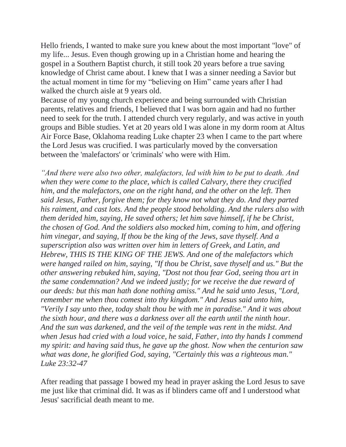Hello friends, I wanted to make sure you knew about the most important "love" of my life... Jesus. Even though growing up in a Christian home and hearing the gospel in a Southern Baptist church, it still took 20 years before a true saving knowledge of Christ came about. I knew that I was a sinner needing a Savior but the actual moment in time for my "believing on Him" came years after I had walked the church aisle at 9 years old.

Because of my young church experience and being surrounded with Christian parents, relatives and friends, I believed that I was born again and had no further need to seek for the truth. I attended church very regularly, and was active in youth groups and Bible studies. Yet at 20 years old I was alone in my dorm room at Altus Air Force Base, Oklahoma reading Luke chapter 23 when I came to the part where the Lord Jesus was crucified. I was particularly moved by the conversation between the 'malefactors' or 'criminals' who were with Him.

*"And there were also two other, malefactors, led with him to be put to death. And when they were come to the place, which is called Calvary, there they crucified him, and the malefactors, one on the right hand, and the other on the left. Then said Jesus, Father, forgive them; for they know not what they do. And they parted his raiment, and cast lots. And the people stood beholding. And the rulers also with them derided him, saying, He saved others; let him save himself, if he be Christ, the chosen of God. And the soldiers also mocked him, coming to him, and offering him vinegar, and saying, If thou be the king of the Jews, save thyself. And a superscription also was written over him in letters of Greek, and Latin, and Hebrew, THIS IS THE KING OF THE JEWS. And one of the malefactors which were hanged railed on him, saying, "If thou be Christ, save thyself and us." But the other answering rebuked him, saying, "Dost not thou fear God, seeing thou art in the same condemnation? And we indeed justly; for we receive the due reward of our deeds: but this man hath done nothing amiss." And he said unto Jesus, "Lord, remember me when thou comest into thy kingdom." And Jesus said unto him, "Verily I say unto thee, today shalt thou be with me in paradise." And it was about the sixth hour, and there was a darkness over all the earth until the ninth hour. And the sun was darkened, and the veil of the temple was rent in the midst. And when Jesus had cried with a loud voice, he said, Father, into thy hands I commend my spirit: and having said thus, he gave up the ghost. Now when the centurion saw what was done, he glorified God, saying, "Certainly this was a righteous man." Luke 23:32-47*

After reading that passage I bowed my head in prayer asking the Lord Jesus to save me just like that criminal did. It was as if blinders came off and I understood what Jesus' sacrificial death meant to me.